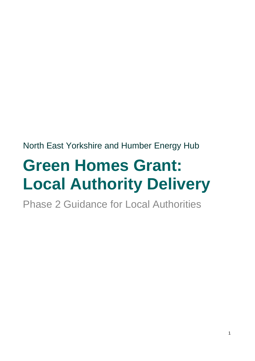North East Yorkshire and Humber Energy Hub

# **Green Homes Grant: Local Authority Delivery**

Phase 2 Guidance for Local Authorities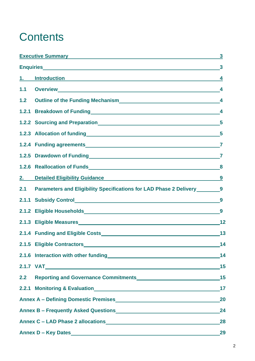### **Contents**

|     | Executive Summary <b>Executive Summary</b>                                                                                                                                                                                           | $\mathbf{3}$            |
|-----|--------------------------------------------------------------------------------------------------------------------------------------------------------------------------------------------------------------------------------------|-------------------------|
|     |                                                                                                                                                                                                                                      | $\mathbf{3}$            |
| 1.  | <u>Introduction and the contract of the contract of the contract of the contract of the contract of the contract of the contract of the contract of the contract of the contract of the contract of the contract of the contract</u> | 4                       |
| 1.1 |                                                                                                                                                                                                                                      |                         |
| 1.2 | Outline of the Funding Mechanism<br>4                                                                                                                                                                                                |                         |
|     | 1.2.1 Breakdown of Funding 4                                                                                                                                                                                                         |                         |
|     |                                                                                                                                                                                                                                      |                         |
|     | 1.2.3 Allocation of funding<br>5                                                                                                                                                                                                     |                         |
|     |                                                                                                                                                                                                                                      | $\overline{\mathbf{7}}$ |
|     | 1.2.5 Drawdown of Funding 7                                                                                                                                                                                                          |                         |
|     | 1.2.6 Reallocation of Funds<br>Management and Contract and Contract and Contract and Contract and Contract and Contract and Contract and Contract and Contract and Contract and Contract and Contract and Contract and Contract      | 8                       |
| 2.  | Detailed Eligibility Guidance 9                                                                                                                                                                                                      |                         |
| 2.1 | Parameters and Eligibility Specifications for LAD Phase 2 Delivery _________9                                                                                                                                                        |                         |
|     | 2.1.1 Subsidy Control 2.1.1 Subsidy Control                                                                                                                                                                                          | 9                       |
|     |                                                                                                                                                                                                                                      | 9                       |
|     |                                                                                                                                                                                                                                      | 12                      |
|     |                                                                                                                                                                                                                                      | 13                      |
|     |                                                                                                                                                                                                                                      | 14                      |
|     | 2.1.6 Interaction with other funding<br><u> and the contraction of the contraction</u>                                                                                                                                               | 14                      |
|     |                                                                                                                                                                                                                                      | 15                      |
| 2.2 |                                                                                                                                                                                                                                      | 15                      |
|     |                                                                                                                                                                                                                                      | 17                      |
|     | Annex A - Defining Domestic Premises<br><u>Land Communication</u>                                                                                                                                                                    | 20                      |
|     |                                                                                                                                                                                                                                      |                         |
|     | Annex C - LAD Phase 2 allocations<br>Mannex C - LAD Phase 2 allocations                                                                                                                                                              | 28                      |
|     | Annex D - Key Dates                                                                                                                                                                                                                  | 29                      |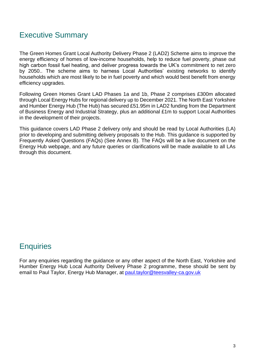### Executive Summary

The Green Homes Grant Local Authority Delivery Phase 2 (LAD2) Scheme aims to improve the energy efficiency of homes of low-income households, help to reduce fuel poverty, phase out high carbon fossil fuel heating, and deliver progress towards the UK's commitment to net zero by 2050.. The scheme aims to harness Local Authorities' existing networks to identify households which are most likely to be in fuel poverty and which would best benefit from energy efficiency upgrades.

Following Green Homes Grant LAD Phases 1a and 1b, Phase 2 comprises £300m allocated through Local Energy Hubs for regional delivery up to December 2021. The North East Yorkshire and Humber Energy Hub (The Hub) has secured £51.95m in LAD2 funding from the Department of Business Energy and Industrial Strategy, plus an additional £1m to support Local Authorities in the development of their projects.

This guidance covers LAD Phase 2 delivery only and should be read by Local Authorities (LA) prior to developing and submitting delivery proposals to the Hub. This guidance is supported by Frequently Asked Questions (FAQs) (See Annex B). The FAQs will be a live document on the Energy Hub webpage, and any future queries or clarifications will be made available to all LAs through this document.

### **Enquiries**

For any enquiries regarding the guidance or any other aspect of the North East, Yorkshire and Humber Energy Hub Local Authority Delivery Phase 2 programme, these should be sent by email to Paul Taylor, Energy Hub Manager, at [paul.taylor@teesvalley-ca.gov.uk](mailto:paul.taylor@teesvalley-ca.gov.uk)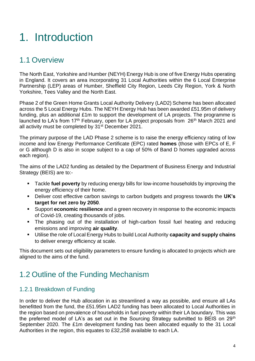## 1. Introduction

### 1.1 Overview

The North East, Yorkshire and Humber (NEYH) Energy Hub is one of five Energy Hubs operating in England. It covers an area incorporating 31 Local Authorities within the 6 Local Enterprise Partnership (LEP) areas of Humber, Sheffield City Region, Leeds City Region, York & North Yorkshire, Tees Valley and the North East.

Phase 2 of the Green Home Grants Local Authority Delivery (LAD2) Scheme has been allocated across the 5 Local Energy Hubs. The NEYH Energy Hub has been awarded £51.95m of delivery funding, plus an additional £1m to support the development of LA projects. The programme is launched to LA's from 17<sup>th</sup> February, open for LA project proposals from 26<sup>th</sup> March 2021 and all activity must be completed by 31<sup>st</sup> December 2021.

The primary purpose of the LAD Phase 2 scheme is to raise the energy efficiency rating of low income and low Energy Performance Certificate (EPC) rated **homes** (those with EPCs of E, F or G although D is also in scope subject to a cap of 50% of Band D homes upgraded across each region).

The aims of the LAD2 funding as detailed by the Department of Business Energy and Industrial Strategy (BEIS) are to:-

- Tackle **fuel poverty** by reducing energy bills for low-income households by improving the energy efficiency of their home.
- Deliver cost effective carbon savings to carbon budgets and progress towards the UK's **target for net zero by 2050**.
- Support **economic resilience** and a green recovery in response to the economic impacts of Covid-19, creating thousands of jobs.
- The phasing out of the installation of high-carbon fossil fuel heating and reducing emissions and improving **air quality**.
- Utilise the role of Local Energy Hubs to build Local Authority **capacity and supply chains** to deliver energy efficiency at scale.

This document sets out eligibility parameters to ensure funding is allocated to projects which are aligned to the aims of the fund.

### 1.2 Outline of the Funding Mechanism

#### 1.2.1 Breakdown of Funding

In order to deliver the Hub allocation in as streamlined a way as possible, and ensure all LAs benefitted from the fund, the £51.95m LAD2 funding has been allocated to Local Authorities in the region based on prevalence of households in fuel poverty within their LA boundary. This was the preferred model of LA's as set out in the Sourcing Strategy submitted to BEIS on  $29<sup>th</sup>$ September 2020. The £1m development funding has been allocated equally to the 31 Local Authorities in the region, this equates to £32,258 available to each LA.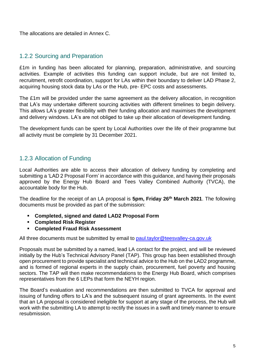The allocations are detailed in Annex C.

#### 1.2.2 Sourcing and Preparation

£1m in funding has been allocated for planning, preparation, administrative, and sourcing activities. Example of activities this funding can support include, but are not limited to, recruitment, retrofit coordination, support for LAs within their boundary to deliver LAD Phase 2, acquiring housing stock data by LAs or the Hub, pre- EPC costs and assessments.

The £1m will be provided under the same agreement as the delivery allocation, in recognition that LA's may undertake different sourcing activities with different timelines to begin delivery. This allows LA's greater flexibility with their funding allocation and maximises the development and delivery windows. LA's are not obliged to take up their allocation of development funding.

The development funds can be spent by Local Authorities over the life of their programme but all activity must be complete by 31 December 2021.

#### 1.2.3 Allocation of Funding

Local Authorities are able to access their allocation of delivery funding by completing and submitting a 'LAD 2 Proposal Form' in accordance with this guidance, and having their proposals approved by the Energy Hub Board and Tees Valley Combined Authority (TVCA), the accountable body for the Hub.

The deadline for the receipt of an LA proposal is **5pm, Friday 26th March 2021**. The following documents must be provided as part of the submission:

- **Completed, signed and dated LAD2 Proposal Form**
- **Completed Risk Register**
- **Completed Fraud Risk Assessment**

All three documents must be submitted by email to [paul.taylor@teesvalley-ca.gov.uk](mailto:paul.taylor@teesvalley-ca.gov.uk)

Proposals must be submitted by a named, lead LA contact for the project, and will be reviewed initially by the Hub's Technical Advisory Panel (TAP). This group has been established through open procurement to provide specialist and technical advice to the Hub on the LAD2 programme, and is formed of regional experts in the supply chain, procurement, fuel poverty and housing sectors. The TAP will then make recommendations to the Energy Hub Board, which comprises representatives from the 6 LEPs that form the NEYH region.

The Board's evaluation and recommendations are then submitted to TVCA for approval and issuing of funding offers to LA's and the subsequent issuing of grant agreements. In the event that an LA proposal is considered ineligible for support at any stage of the process, the Hub will work with the submitting LA to attempt to rectify the issues in a swift and timely manner to ensure resubmission.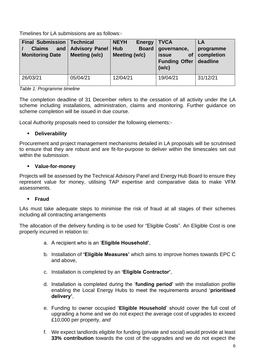Timelines for LA submissions are as follows:-

| <b>Final Submission</b><br>and<br><b>Claims</b><br><b>Monitoring Date</b> | <b>Technical</b><br><b>Advisory Panel</b><br>Meeting (w/c) | <b>NEYH</b><br><b>Energy</b><br><b>Board</b><br><b>Hub</b><br>Meeting (w/c) | <b>TVCA</b><br>governance,<br>of<br><b>issue</b><br><b>Funding Offer</b><br>(w/c) | LA<br>programme<br>completion<br>deadline |
|---------------------------------------------------------------------------|------------------------------------------------------------|-----------------------------------------------------------------------------|-----------------------------------------------------------------------------------|-------------------------------------------|
| 26/03/21                                                                  | 05/04/21                                                   | 12/04/21                                                                    | 19/04/21                                                                          | 31/12/21                                  |

*Table 1: Programme timeline*

The completion deadline of 31 December refers to the cessation of all activity under the LA scheme including installations, administration, claims and monitoring. Further guidance on scheme completion will be issued in due course.

Local Authority proposals need to consider the following elements:-

#### ▪ **Deliverability**

Procurement and project management mechanisms detailed in LA proposals will be scrutinised to ensure that they are robust and are fit-for-purpose to deliver within the timescales set out within the submission.

#### ▪ **Value-for-money**

Projects will be assessed by the Technical Advisory Panel and Energy Hub Board to ensure they represent value for money, utilising TAP expertise and comparative data to make VFM assessments.

#### ▪ **Fraud**

LAs must take adequate steps to minimise the risk of fraud at all stages of their schemes including all contracting arrangements

The allocation of the delivery funding is to be used for "Eligible Costs". An Eligible Cost is one properly incurred in relation to:

- a. A recipient who is an '**Eligible Household'**,
- b. Installation of **'Eligible Measures'** which aims to improve homes towards EPC C and above,
- c. Installation is completed by an **'Eligible Contractor'**,
- d. Installation is completed during the '**funding period'** with the installation profile enabling the Local Energy Hubs to meet the requirements around '**prioritised delivery'**,
- e. Funding to owner occupied '**Eligible Household**' should cover the full cost of upgrading a home and we do not expect the average cost of upgrades to exceed £10,000 per property, *and*
- f. We expect landlords eligible for funding (private and social) would provide at least **33% contribution** towards the cost of the upgrades and we do not expect the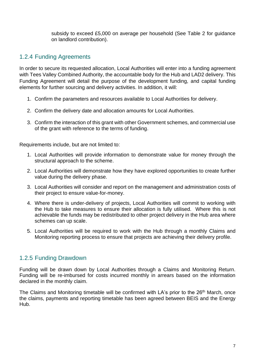subsidy to exceed £5,000 on average per household (See Table 2 for guidance on landlord contribution).

#### 1.2.4 Funding Agreements

In order to secure its requested allocation, Local Authorities will enter into a funding agreement with Tees Valley Combined Authority, the accountable body for the Hub and LAD2 delivery. This Funding Agreement will detail the purpose of the development funding, and capital funding elements for further sourcing and delivery activities. In addition, it will:

- 1. Confirm the parameters and resources available to Local Authorities for delivery.
- 2. Confirm the delivery date and allocation amounts for Local Authorities.
- 3. Confirm the interaction of this grant with other Government schemes, and commercial use of the grant with reference to the terms of funding.

Requirements include, but are not limited to:

- 1. Local Authorities will provide information to demonstrate value for money through the structural approach to the scheme.
- 2. Local Authorities will demonstrate how they have explored opportunities to create further value during the delivery phase.
- 3. Local Authorities will consider and report on the management and administration costs of their project to ensure value-for-money.
- 4. Where there is under-delivery of projects, Local Authorities will commit to working with the Hub to take measures to ensure their allocation is fully utilised. Where this is not achievable the funds may be redistributed to other project delivery in the Hub area where schemes can up scale.
- 5. Local Authorities will be required to work with the Hub through a monthly Claims and Monitoring reporting process to ensure that projects are achieving their delivery profile.

#### 1.2.5 Funding Drawdown

Funding will be drawn down by Local Authorities through a Claims and Monitoring Return. Funding will be re-imbursed for costs incurred monthly in arrears based on the information declared in the monthly claim.

The Claims and Monitoring timetable will be confirmed with LA's prior to the 26<sup>th</sup> March, once the claims, payments and reporting timetable has been agreed between BEIS and the Energy Hub.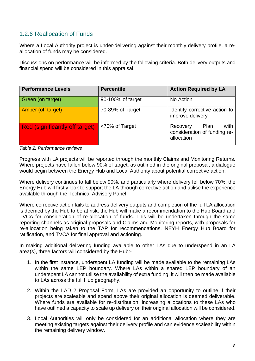#### 1.2.6 Reallocation of Funds

Where a Local Authority project is under-delivering against their monthly delivery profile, a reallocation of funds may be considered.

Discussions on performance will be informed by the following criteria. Both delivery outputs and financial spend will be considered in this appraisal.

| <b>Performance Levels</b>             | <b>Percentile</b> | <b>Action Required by LA</b>                                           |  |  |
|---------------------------------------|-------------------|------------------------------------------------------------------------|--|--|
| Green (on target)                     | 90-100% of target | No Action                                                              |  |  |
| Amber (off target)                    | 70-89% of Target  | Identify corrective action to<br>improve delivery                      |  |  |
| <b>Red (significantly off target)</b> | <70% of Target    | with<br>Plan<br>Recovery<br>consideration of funding re-<br>allocation |  |  |

*Table 2: Performance reviews*

Progress with LA projects will be reported through the monthly Claims and Monitoring Returns. Where projects have fallen below 90% of target, as outlined in the original proposal, a dialogue would begin between the Energy Hub and Local Authority about potential corrective action.

Where delivery continues to fall below 90%, and particularly where delivery fell below 70%, the Energy Hub will firstly look to support the LA through corrective action and utilise the experience available through the Technical Advisory Panel.

Where corrective action fails to address delivery outputs and completion of the full LA allocation is deemed by the Hub to be at risk, the Hub will make a recommendation to the Hub Board and TVCA for consideration of re-allocation of funds. This will be undertaken through the same reporting channels as original proposals and Claims and Monitoring reports, with proposals for re-allocation being taken to the TAP for recommendations, NEYH Energy Hub Board for ratification, and TVCA for final approval and actioning.

In making additional delivering funding available to other LAs due to underspend in an LA area(s), three factors will considered by the Hub:-

- 1. In the first instance, underspent LA funding will be made available to the remaining LAs within the same LEP boundary. Where LAs within a shared LEP boundary of an underspent LA cannot utilise the availability of extra funding, it will then be made available to LAs across the full Hub geography.
- 2. Within the LAD 2 Proposal Form, LAs are provided an opportunity to outline if their projects are scaleable and spend above their original allocation is deemed deliverable. Where funds are available for re-distribution, increasing allocations to these LAs who have outlined a capacity to scale up delivery on their original allocation will be considered.
- 3. Local Authorities will only be considered for an additional allocation where they are meeting existing targets against their delivery profile and can evidence scaleability within the remaining delivery window.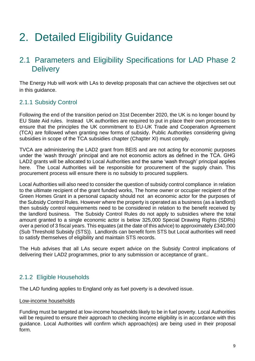## 2. Detailed Eligibility Guidance

### 2.1 Parameters and Eligibility Specifications for LAD Phase 2 **Delivery**

The Energy Hub will work with LAs to develop proposals that can achieve the objectives set out in this guidance.

#### 2.1.1 Subsidy Control

Following the end of the transition period on 31st December 2020, the UK is no longer bound by EU State Aid rules. Instead UK authorities are required to put in place their own processes to ensure that the principles the UK commitment to EU-UK Trade and Cooperation Agreement (TCA) are followed when granting new forms of subsidy. Public Authorities considering giving subsidies in scope of the TCA subsidies chapter (Chapter XI) must comply.

TVCA are administering the LAD2 grant from BEIS and are not acting for economic purposes under the 'wash through' principal and are not economic actors as defined in the TCA. GHG LAD2 grants will be allocated to Local Authorities and the same 'wash through' principal applies here. The Local Authorities will be responsible for procurement of the supply chain. This procurement process will ensure there is no subsidy to procured suppliers.

Local Authorities will also need to consider the question of subsidy control compliance in relation to the ultimate recipient of the grant funded works, The home owner or occupier recipient of the Green Homes Grant in a personal capacity should not an economic actor for the purposes of the Subsidy Control Rules. However where the property is operated as a business (as a landlord) then subsidy control requirements need to be considered in relation to the benefit received by the landlord business. The Subsidy Control Rules do not apply to subsidies where the total amount granted to a single economic actor is below 325,000 Special Drawing Rights (SDRs) over a period of 3 fiscal years. This equates (at the date of this advice) to approximately £340,000 (Sub Threshold Subsidy (STS)). Landlords can benefit form STS but Local authorities will need to satisfy themselves of eligibility and maintain STS records.

The Hub advises that all LAs secure expert advice on the Subsidy Control implications of delivering their LAD2 programmes, prior to any submission or acceptance of grant..

#### 2.1.2 Eligible Households

The LAD funding applies to England only as fuel poverty is a devolved issue.

#### Low-income households

Funding must be targeted at low-income households likely to be in fuel poverty. Local Authorities will be required to ensure their approach to checking income eligibility is in accordance with this guidance. Local Authorities will confirm which approach(es) are being used in their proposal form.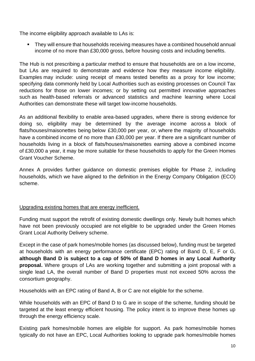The income eligibility approach available to LAs is:

■ They will ensure that households receiving measures have a combined household annual income of no more than £30,000 gross, before housing costs and including benefits.

The Hub is not prescribing a particular method to ensure that households are on a low income, but LAs are required to demonstrate and evidence how they measure income eligibility. Examples may include: using receipt of means tested benefits as a proxy for low income; specifying data commonly held by Local Authorities such as existing processes on Council Tax reductions for those on lower incomes; or by setting out permitted innovative approaches such as health-based referrals or advanced statistics and machine learning where Local Authorities can demonstrate these will target low-income households.

As an additional flexibility to enable area-based upgrades, where there is strong evidence for doing so, eligibility may be determined by the average income across a block of flats/houses/maisonettes being below £30,000 per year, or, where the majority of households have a combined income of no more than £30,000 per year. If there are a significant number of households living in a block of flats/houses/maisonettes earning above a combined income of £30,000 a year, it may be more suitable for these households to apply for the Green Homes Grant [Voucher Scheme.](https://www.gov.uk/government/news/quality-assurance-at-heart-of-new-2-billion-green-homes-grants)

Annex A provides further guidance on domestic premises eligible for Phase 2, including households, which we have aligned to the definition in the Energy Company Obligation (ECO) scheme.

#### Upgrading existing homes that are energy inefficient.

Funding must support the retrofit of existing domestic dwellings only. Newly built homes which have not been previously occupied are not eligible to be upgraded under the Green Homes Grant Local Authority Delivery scheme.

Except in the case of park homes/mobile homes (as discussed below), funding must be targeted at households with an energy performance certificate (EPC) rating of Band D, E, F or G, **although Band D is subject to a cap of 50% of Band D homes in any Local Authority proposal.** Where groups of LAs are working together and submitting a joint proposal with a single lead LA, the overall number of Band D properties must not exceed 50% across the consortium geography.

Households with an EPC rating of Band A, B or C are not eligible for the scheme.

While households with an EPC of Band D to G are in scope of the scheme, funding should be targeted at the least energy efficient housing. The policy intent is to improve these homes up through the energy efficiency scale.

Existing park homes/mobile homes are eligible for support. As park homes/mobile homes typically do not have an EPC, Local Authorities looking to upgrade park homes/mobile homes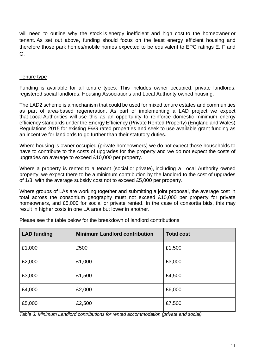will need to outline why the stock is energy inefficient and high cost to the homeowner or tenant. As set out above, funding should focus on the least energy efficient housing and therefore those park homes/mobile homes expected to be equivalent to EPC ratings E, F and G.

#### Tenure type

Funding is available for all tenure types. This includes owner occupied, private landlords, registered social landlords, Housing Associations and Local Authority owned housing.

The LAD2 scheme is a mechanism that could be used for mixed tenure estates and communities as part of area-based regeneration. As part of implementing a LAD project we expect that Local Authorities will use this as an opportunity to reinforce domestic minimum energy efficiency standards under the Energy Efficiency (Private Rented Property) (England and Wales) Regulations 2015 for existing F&G rated properties and seek to use available grant funding as an incentive for landlords to go further than their statutory duties.

Where housing is owner occupied (private homeowners) we do not expect those households to have to contribute to the costs of upgrades for the property and we do not expect the costs of upgrades on average to exceed £10,000 per property.

Where a property is rented to a tenant (social or private), including a Local Authority owned property, we expect there to be a minimum contribution by the landlord to the cost of upgrades of 1/3, with the average subsidy cost not to exceed £5,000 per property.

Where groups of LAs are working together and submitting a joint proposal, the average cost in total across the consortium geography must not exceed £10,000 per property for private homeowners, and £5,000 for social or private rented. In the case of consortia bids, this may result in higher costs in one LA area but lower in another.

| <b>LAD funding</b> | <b>Minimum Landlord contribution</b> | <b>Total cost</b> |
|--------------------|--------------------------------------|-------------------|
| £1,000             | £500                                 | £1,500            |
| £2,000             | £1,000                               | £3,000            |
| £3,000             | £1,500                               | £4,500            |
| £4,000             | £2,000                               | £6,000            |
| £5,000             | £2,500                               | £7,500            |

Please see the table below for the breakdown of landlord contributions:

*Table 3: Minimum Landlord contributions for rented accommodation (private and social)*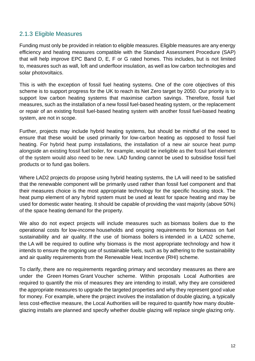#### 2.1.3 Eligible Measures

Funding must only be provided in relation to eligible measures. Eligible measures are any energy efficiency and heating measures compatible with the Standard Assessment Procedure (SAP) that will help improve EPC Band D, E, F or G rated homes. This includes, but is not limited to, measures such as wall, loft and underfloor insulation, as well as low carbon technologies and solar photovoltaics.

This is with the exception of fossil fuel heating systems. One of the core objectives of this scheme is to support progress for the UK to reach its Net Zero target by 2050. Our priority is to support low carbon heating systems that maximise carbon savings. Therefore, fossil fuel measures, such as the installation of a new fossil fuel-based heating system, or the replacement or repair of an existing fossil fuel-based heating system with another fossil fuel-based heating system, are not in scope.

Further, projects may include hybrid heating systems, but should be mindful of the need to ensure that these would be used primarily for low-carbon heating as opposed to fossil fuel heating. For hybrid heat pump installations, the installation of a new air source heat pump alongside an existing fossil fuel boiler, for example, would be ineligible as the fossil fuel element of the system would also need to be new. LAD funding cannot be used to subsidise fossil fuel products or to fund gas boilers.

Where LAD2 projects do propose using hybrid heating systems, the LA will need to be satisfied that the renewable component will be primarily used rather than fossil fuel component and that their measures choice is the most appropriate technology for the specific housing stock. The heat pump element of any hybrid system must be used at least for space heating and may be used for domestic water heating. It should be capable of providing the vast majority (above 50%) of the space heating demand for the property.

We also do not expect projects will include measures such as biomass boilers due to the operational costs for low-income households and ongoing requirements for biomass on fuel sustainability and air quality. If the use of biomass boilers is intended in a LAD2 scheme, the LA will be required to outline why biomass is the most appropriate technology and how it intends to ensure the ongoing use of sustainable fuels, such as by adhering to the sustainability and air quality requirements from the Renewable Heat Incentive (RHI) scheme.

To clarify, there are no requirements regarding primary and secondary measures as there are under the Green Homes Grant Voucher scheme. Within proposals Local Authorities are required to quantify the mix of measures they are intending to install, why they are considered the appropriate measures to upgrade the targeted properties and why they represent good value for money. For example, where the project involves the installation of double glazing, a typically less cost-effective measure, the Local Authorities will be required to quantify how many doubleglazing installs are planned and specify whether double glazing will replace single glazing only.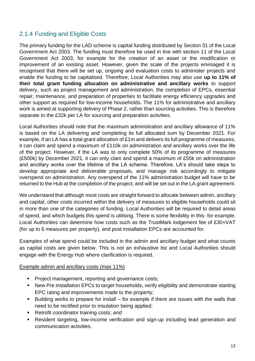#### 2.1.4 Funding and Eligible Costs

The primary funding for the LAD scheme is capital funding distributed by Section 31 of the Local Government Act 2003. The funding must therefore be used in line with section 11 of the Local Government Act 2003, for example for the creation of an asset or the modification or improvement of an existing asset. However, given the scale of the projects envisaged it is recognised that there will be set up, ongoing and evaluation costs to administer projects and enable the funding to be capitalised. Therefore, Local Authorities may also use **up to 11% of their total grant funding allocation on administrative and ancillary works** to support delivery, such as project management and administration, the completion of EPCs, essential repair, maintenance, and preparation of properties to facilitate energy efficiency upgrades and other support as required for low-income households. The 11% for administrative and ancillary work is aimed at supporting delivery of Phase 2, rather than sourcing activities. This is therefore separate to the £32k per LA for sourcing and preparation activities.

Local Authorities should note that the maximum administration and ancillary allowance of 11% is based on the LA delivering and completing its full allocated sum by December 2021. For example, if an LA has a total grant allocation of £1m and delivers its full programme of measures, it can claim and spend a maximum of £110k on administration and ancillary works over the life of the project. However, if the LA was to only complete 50% of its programme of measures (£500k) by December 2021, it can only clam and spend a maximum of £55k on administration and ancillary works over the lifetime of the LA scheme. Therefore, LA's should take steps to develop appropriate and deliverable proposals, and manage risk accordingly to mitigate overspend on administration. Any overspend of the 11% administration budget will have to be returned to the Hub at the completion of the project, and will be set out in the LA grant agreement.

We understand that although most costs are straight forward to allocate between admin, ancillary and capital, other costs incurred within the delivery of measures to eligible households could sit in more than one of the categories of funding. Local Authorities will be required to detail areas of spend, and which budgets this spend is utilising. There is some flexibility in this- for example, Local Authorities can determine how costs such as the TrustMark lodgement fee of £30+VAT (for up to 6 measures per property), and post installation EPCs are accounted for.

Examples of what spend could be included in the admin and ancillary budget and what counts as capital costs are given below. This is not an exhaustive list and Local Authorities should engage with the Energy Hub where clarification is required.

#### Example admin and ancillary costs (max 11%)

- **Project management, reporting and governance costs;**
- New Pre installation EPCs to target households, verify eligibility and demonstrate starting EPC rating and improvements made to the property;
- Building works to prepare for install for example if there are issues with the walls that need to be rectified prior to insulation being applied;
- Retrofit coordinator training costs; and
- Resident targeting, low-income verification and sign-up including lead generation and communication activities.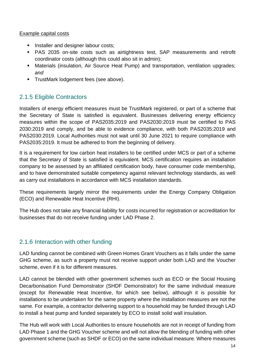#### Example capital costs

- **EXEC** Installer and designer labour costs;
- PAS 2035 on-site costs such as airtightness test, SAP measurements and retrofit coordinator costs (although this could also sit in admin);
- **■** Materials (insulation, Air Source Heat Pump) and transportation, ventilation upgrades; *and*
- **TrustMark lodgement fees (see above).**

#### 2.1.5 Eligible Contractors

Installers of energy efficient measures must be TrustMark registered, or part of a scheme that the Secretary of State is satisfied is equivalent. Businesses delivering energy efficiency measures within the scope of PAS2035:2019 and PAS2030:2019 must be certified to PAS 2030:2019 and comply, and be able to evidence compliance, with both PAS2035:2019 and PAS2030:2019. Local Authorities must not wait until 30 June 2021 to require compliance with PAS2035:2019. It must be adhered to from the beginning of delivery.

It is a requirement for low carbon heat installers to be certified under MCS or part of a scheme that the Secretary of State is satisfied is equivalent. MCS certification requires an installation company to be assessed by an affiliated certification body, have consumer code membership, and to have demonstrated suitable competency against relevant technology standards, as well as carry out installations in accordance with MCS installation standards.

These requirements largely mirror the requirements under the Energy Company Obligation (ECO) and Renewable Heat Incentive (RHI).

The Hub does not take any financial liability for costs incurred for registration or accreditation for businesses that do not receive funding under LAD Phase 2.

#### 2.1.6 Interaction with other funding

LAD funding cannot be combined with Green Homes Grant Vouchers as it falls under the same GHG scheme, as such a property must not receive support under both LAD and the Voucher scheme, even if it is for different measures.

LAD cannot be blended with other government schemes such as ECO or the Social Housing Decarbonisation Fund Demonstrator (SHDF Demonstrator) for the same individual measure (except for Renewable Heat Incentive, for which see below), although it is possible for installations to be undertaken for the same property where the installation measures are not the same. For example, a contractor delivering support to a household may be funded through LAD to install a heat pump and funded separately by ECO to install solid wall insulation.

The Hub will work with Local Authorities to ensure households are not in receipt of funding from LAD Phase 1 and the GHG Voucher scheme and will not allow the blending of funding with other government scheme (such as SHDF or ECO) on the same individual measure. Where measures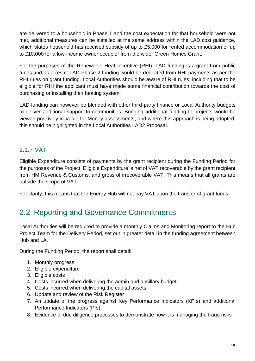are delivered to a household in Phase 1 and the cost expectation for that household were not met, additional measures can be installed at the same address within the LAD cost guidance, which states household has received subsidy of up to £5,000 for rented accommodation or up to £10,000 for a low-income owner occupier from the wider Green Homes Grant.

For the purposes of the Renewable Heat Incentive (RHI), LAD funding is a grant from public funds and as a result LAD Phase 2 funding would be deducted from RHI payments as per the RHI rules on grant funding. Local Authorities should be aware of RHI rules, including that to be eligible for RHI the applicant must have made some financial contribution towards the cost of purchasing or installing their heating system.

LAD funding can however be blended with other third-party finance or Local Authority budgets to deliver additional support to communities. Bringing additional funding to projects would be viewed positively in Value for Money assessments, and where this approach is being adopted, this should be highlighted in the Local Authorities LAD2 Proposal.

#### 2.1.7 VAT

Eligible Expenditure consists of payments by the grant recipient during the Funding Period for the purposes of the Project. Eligible Expenditure is net of VAT recoverable by the grant recipient from HM Revenue & Customs, and gross of irrecoverable VAT. This means that all grants are outside the scope of VAT.

For clarity, this means that the Energy Hub will not pay VAT upon the transfer of grant funds.

### 2.2 Reporting and Governance Commitments

Local Authorities will be required to provide a monthly Claims and Monitoring report to the Hub Project Team for the Delivery Period, set out in greater detail in the funding agreement between Hub and LA.

During the Funding Period, the report shall detail:

- 1. Monthly progress
- 2. Eligible expenditure
- 3. Eligible costs
- 4. Costs incurred when delivering the admin and ancillary budget
- 5. Costs incurred when delivering the capital assets
- 6. Update and review of the Risk Register
- 7. An update of the progress against Key Performance Indicators (KPIs) and additional Performance Indicators (PIs)
- 8. Evidence of due diligence processes to demonstrate how it is managing the fraud risks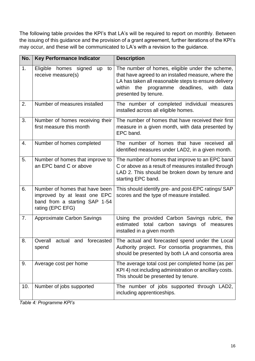The following table provides the KPI's that LA's will be required to report on monthly. Between the issuing of this guidance and the provision of a grant agreement, further iterations of the KPI's may occur, and these will be communicated to LA's with a revision to the guidance.

| No.              | <b>Key Performance Indicator</b>                                                                                    | <b>Description</b>                                                                                                                                                                                                                           |
|------------------|---------------------------------------------------------------------------------------------------------------------|----------------------------------------------------------------------------------------------------------------------------------------------------------------------------------------------------------------------------------------------|
| 1.               | Eligible homes signed<br>up<br>to<br>receive measure(s)                                                             | The number of homes, eligible under the scheme,<br>that have agreed to an installed measure, where the<br>LA has taken all reasonable steps to ensure delivery<br>within the programme<br>deadlines,<br>with<br>data<br>presented by tenure. |
| 2.               | Number of measures installed                                                                                        | The number of completed individual measures<br>installed across all eligible homes.                                                                                                                                                          |
| 3.               | Number of homes receiving their<br>first measure this month                                                         | The number of homes that have received their first<br>measure in a given month, with data presented by<br>EPC band.                                                                                                                          |
| $\overline{4}$ . | Number of homes completed                                                                                           | The number of homes that have received all<br>identified measures under LAD2, in a given month.                                                                                                                                              |
| 5.               | Number of homes that improve to<br>an EPC band C or above                                                           | The number of homes that improve to an EPC band<br>C or above as a result of measures installed through<br>LAD 2. This should be broken down by tenure and<br>starting EPC band.                                                             |
| 6.               | Number of homes that have been<br>improved by at least one EPC<br>band from a starting SAP 1-54<br>rating (EPC EFG) | This should identify pre- and post-EPC ratings/ SAP<br>scores and the type of measure installed.                                                                                                                                             |
| 7.               | <b>Approximate Carbon Savings</b>                                                                                   | Using the provided Carbon Savings rubric, the<br>estimated total carbon<br>savings of measures<br>installed in a given month                                                                                                                 |
| 8.               | Overall actual and forecasted<br>spend                                                                              | The actual and forecasted spend under the Local<br>Authority project. For consortia programmes, this<br>should be presented by both LA and consortia area                                                                                    |
| 9.               | Average cost per home                                                                                               | The average total cost per completed home (as per<br>KPI 4) not including administration or ancillary costs.<br>This should be presented by tenure.                                                                                          |
| 10.              | Number of jobs supported                                                                                            | The number of jobs supported through LAD2,<br>including apprenticeships.                                                                                                                                                                     |

*Table 4: Programme KPI's*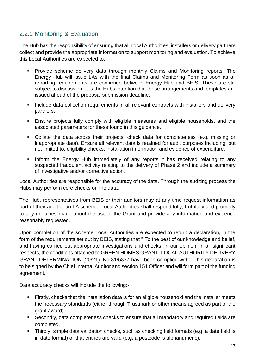#### 2.2.1 Monitoring & Evaluation

The Hub has the responsibility of ensuring that all Local Authorities, installers or delivery partners collect and provide the appropriate information to support monitoring and evaluation. To achieve this Local Authorities are expected to:

- Provide scheme delivery data through monthly Claims and Monitoring reports. The Energy Hub will issue LAs with the final Claims and Monitoring Form as soon as all reporting requirements are confirmed between Energy Hub and BEIS. These are still subject to discussion. It is the Hubs intention that these arrangements and templates are issued ahead of the proposal submission deadline.
- **EXT** Include data collection requirements in all relevant contracts with installers and delivery partners.
- **Ensure projects fully comply with eligible measures and eligible households, and the** associated parameters for these found in this guidance.
- Collate the data across their projects, check data for completeness (e.g. missing or inappropriate data). Ensure all relevant data is retained for audit purposes including, but not limited to, eligibility checks, installation information and evidence of expenditure.
- **.** Inform the Energy Hub immediately of any reports it has received relating to any suspected fraudulent activity relating to the delivery of Phase 2 and include a summary of investigative and/or corrective action.

Local Authorities are responsible for the accuracy of the data. Through the auditing process the Hubs may perform core checks on the data.

The Hub, representatives from BEIS or their auditors may at any time request information as part of their audit of an LA scheme. Local Authorities shall respond fully, truthfully and promptly to any enquiries made about the use of the Grant and provide any information and evidence reasonably requested.

Upon completion of the scheme Local Authorities are expected to return a declaration, in the form of the requirements set out by BEIS, stating that ""To the best of our knowledge and belief, and having carried out appropriate investigations and checks, in our opinion, in all significant respects, the conditions attached to GREEN HOMES GRANT: LOCAL AUTHORITY DELIVERY GRANT DETERMINATION (20/21): No 31/5337 have been complied with". This declaration is to be signed by the Chief Internal Auditor and section 151 Officer and will form part of the funding agreement.

Data accuracy checks will include the following:-

- Firstly, checks that the installation data is for an eligible household and the installer meets the necessary standards (either through Trustmark or other means agreed as part of the grant award).
- Secondly, data completeness checks to ensure that all mandatory and required fields are completed.
- Thirdly, simple data validation checks, such as checking field formats (e.g. a date field is in date format) or that entries are valid (e.g. a postcode is alphanumeric).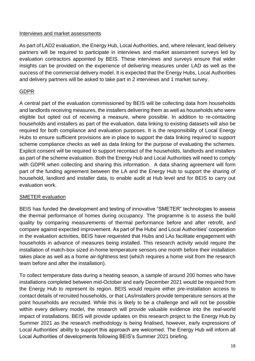#### Interviews and market assessments

As part of LAD2 evaluation, the Energy Hub, Local Authorities, and, where relevant, lead delivery partners will be required to participate in interviews and market assessment surveys led by evaluation contractors appointed by BEIS. These interviews and surveys ensure that wider insights can be provided on the experience of delivering measures under LAD as well as the success of the commercial delivery model. It is expected that the Energy Hubs, Local Authorities and delivery partners will be asked to take part in 2 interviews and 1 market survey.

#### GDPR

A central part of the evaluation commissioned by BEIS will be collecting data from households and landlords receiving measures, the installers delivering them as well as households who were eligible but opted out of receiving a measure, where possible. In addition to re-contacting households and installers as part of the evaluation, data linking to existing datasets will also be required for both compliance and evaluation purposes. It is the responsibility of Local Energy Hubs to ensure sufficient provisions are in place to support the data linking required to support scheme compliance checks as well as data linking for the purpose of evaluating the schemes. Explicit consent will be required to support recontact of the households, landlords and installers as part of the scheme evaluation. Both the Energy Hub and Local Authorities will need to comply with GDPR when collecting and sharing this information. A data sharing agreement will form part of the funding agreement between the LA and the Energy Hub to support the sharing of household, landlord and installer data, to enable audit at Hub level and for BEIS to carry out evaluation work.

#### SMETER evaluation

BEIS has funded the development and testing of innovative "SMETER" technologies to assess the thermal performance of homes during occupancy. The programme is to assess the build quality by comparing measurements of thermal performance before and after retrofit, and compare against expected improvement. As part of the Hubs' and Local Authorities' cooperation in the evaluation activities, BEIS have requested that Hubs and LAs facilitate engagement with households in advance of measures being installed. This research activity would require the installation of match-box sized in-home temperature sensors one month before their installation takes place as well as a home air-tightness test (which requires a home visit from the research team before and after the installation).

To collect temperature data during a heating season, a sample of around 200 homes who have installations completed between mid-October and early December 2021 would be required from the Energy Hub to represent its region. BEIS would require either pre-installation access to contact details of recruited households, or that LAs/installers provide temperature sensors at the point households are recruited. While this is likely to be a challenge and will not be possible within every delivery model, the research will provide valuable evidence into the real-world impact of installations. BEIS will provide updates on this research project to the Energy Hub by Summer 2021 as the research methodology is being finalised, however, early expressions of Local Authorities' ability to support this approach are welcomed. The Energy Hub will inform all Local Authorities of developments following BEIS's Summer 2021 briefing.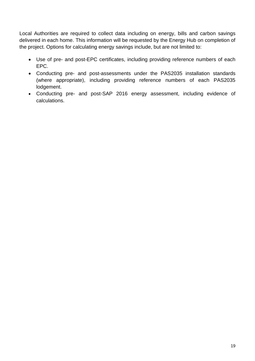Local Authorities are required to collect data including on energy, bills and carbon savings delivered in each home. This information will be requested by the Energy Hub on completion of the project. Options for calculating energy savings include, but are not limited to:

- Use of pre- and post-EPC certificates, including providing reference numbers of each EPC.
- Conducting pre- and post-assessments under the PAS2035 installation standards (where appropriate), including providing reference numbers of each PAS2035 lodgement.
- Conducting pre- and post-SAP 2016 energy assessment, including evidence of calculations.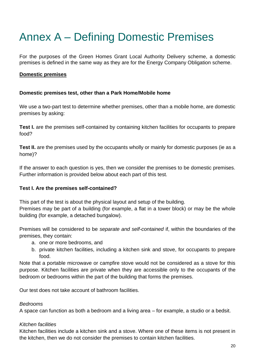## Annex A – Defining Domestic Premises

For the purposes of the Green Homes Grant Local Authority Delivery scheme, a domestic premises is defined in the same way as they are for the Energy Company Obligation scheme.

#### **Domestic premises**

#### **Domestic premises test, other than a Park Home/Mobile home**

We use a two-part test to determine whether premises, other than a mobile home, are domestic premises by asking:

**Test I.** are the premises self-contained by containing kitchen facilities for occupants to prepare food?

**Test II.** are the premises used by the occupants wholly or mainly for domestic purposes (ie as a home)?

If the answer to each question is yes, then we consider the premises to be domestic premises. Further information is provided below about each part of this test.

#### **Test I. Are the premises self-contained?**

This part of the test is about the physical layout and setup of the building.

Premises may be part of a building (for example, a flat in a tower block) or may be the whole building (for example, a detached bungalow).

Premises will be considered to be *separate and self-contained* if, within the boundaries of the premises, they contain:

- a. one or more bedrooms, and
- b. private kitchen facilities, including a kitchen sink and stove, for occupants to prepare food.

Note that a portable microwave or campfire stove would not be considered as a stove for this purpose. Kitchen facilities are private when they are accessible only to the occupants of the bedroom or bedrooms within the part of the building that forms the premises.

Our test does not take account of bathroom facilities.

#### *Bedrooms*

A space can function as both a bedroom and a living area – for example, a studio or a bedsit.

#### *Kitchen facilities*

Kitchen facilities include a kitchen sink and a stove. Where one of these items is not present in the kitchen, then we do not consider the premises to contain kitchen facilities.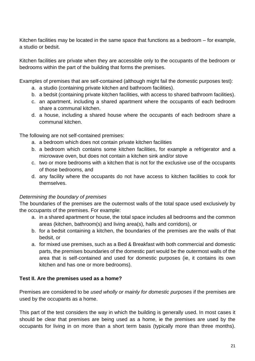Kitchen facilities may be located in the same space that functions as a bedroom – for example, a studio or bedsit.

Kitchen facilities are private when they are accessible only to the occupants of the bedroom or bedrooms within the part of the building that forms the premises.

Examples of premises that are self-contained (although might fail the domestic purposes test):

- a. a studio (containing private kitchen and bathroom facilities).
- b. a bedsit (containing private kitchen facilities, with access to shared bathroom facilities).
- c. an apartment, including a shared apartment where the occupants of each bedroom share a communal kitchen.
- d. a house, including a shared house where the occupants of each bedroom share a communal kitchen.

The following are not self-contained premises:

- a. a bedroom which does not contain private kitchen facilities
- b. a bedroom which contains some kitchen facilities, for example a refrigerator and a microwave oven, but does not contain a kitchen sink and/or stove
- c. two or more bedrooms with a kitchen that is not for the exclusive use of the occupants of those bedrooms, and
- d. any facility where the occupants do not have access to kitchen facilities to cook for themselves.

#### *Determining the boundary of premises*

The boundaries of the premises are the outermost walls of the total space used exclusively by the occupants of the premises. For example:

- a. in a shared apartment or house, the total space includes all bedrooms and the common areas (kitchen, bathroom(s) and living area(s), halls and corridors), or
- b. for a bedsit containing a kitchen, the boundaries of the premises are the walls of that bedsit, or
- a. for mixed use premises, such as a Bed & Breakfast with both commercial and domestic parts, the premises boundaries of the domestic part would be the outermost walls of the area that is self-contained and used for domestic purposes (ie, it contains its own kitchen and has one or more bedrooms).

#### **Test II. Are the premises used as a home?**

Premises are considered to be *used wholly or mainly for domestic purposes* if the premises are used by the occupants as a home.

This part of the test considers the way in which the building is generally used. In most cases it should be clear that premises are being used as a home, ie the premises are used by the occupants for living in on more than a short term basis (typically more than three months).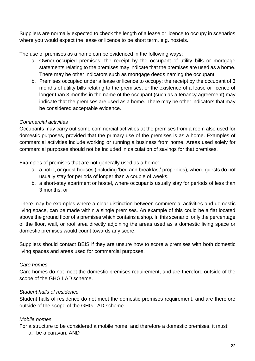Suppliers are normally expected to check the length of a lease or licence to occupy in scenarios where you would expect the lease or licence to be short term, e.g. hostels.

The use of premises as a home can be evidenced in the following ways:

- a. Owner-occupied premises: the receipt by the occupant of utility bills or mortgage statements relating to the premises may indicate that the premises are used as a home. There may be other indicators such as mortgage deeds naming the occupant.
- b. Premises occupied under a lease or licence to occupy: the receipt by the occupant of 3 months of utility bills relating to the premises, or the existence of a lease or licence of longer than 3 months in the name of the occupant (such as a tenancy agreement) may indicate that the premises are used as a home. There may be other indicators that may be considered acceptable evidence.

#### *Commercial activities*

Occupants may carry out some commercial activities at the premises from a room also used for domestic purposes, provided that the primary use of the premises is as a home. Examples of commercial activities include working or running a business from home. Areas used solely for commercial purposes should not be included in calculation of savings for that premises.

Examples of premises that are not generally used as a home:

- a. a hotel, or guest houses (including 'bed and breakfast' properties), where guests do not usually stay for periods of longer than a couple of weeks,
- b. a short-stay apartment or hostel, where occupants usually stay for periods of less than 3 months, or

There may be examples where a clear distinction between commercial activities and domestic living space, can be made within a single premises. An example of this could be a flat located above the ground floor of a premises which contains a shop. In this scenario, only the percentage of the floor, wall, or roof area directly adjoining the areas used as a domestic living space or domestic premises would count towards any score.

Suppliers should contact BEIS if they are unsure how to score a premises with both domestic living spaces and areas used for commercial purposes.

#### *Care homes*

Care homes do not meet the domestic premises requirement, and are therefore outside of the scope of the GHG LAD scheme.

#### *Student halls of residence*

Student halls of residence do not meet the domestic premises requirement, and are therefore outside of the scope of the GHG LAD scheme.

#### *Mobile homes*

For a structure to be considered a mobile home, and therefore a domestic premises, it must:

a. be a caravan, AND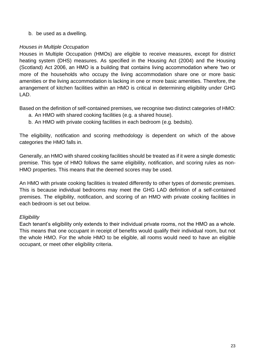b. be used as a dwelling.

#### *Houses in Multiple Occupation*

Houses in Multiple Occupation (HMOs) are eligible to receive measures, except for district heating system (DHS) measures. As specified in the Housing Act (2004) and the Housing (Scotland) Act 2006, an HMO is a building that contains living accommodation where 'two or more of the households who occupy the living accommodation share one or more basic amenities or the living accommodation is lacking in one or more basic amenities. Therefore, the arrangement of kitchen facilities within an HMO is critical in determining eligibility under GHG LAD.

Based on the definition of self-contained premises, we recognise two distinct categories of HMO:

- a. An HMO with shared cooking facilities (e.g. a shared house).
- b. An HMO with private cooking facilities in each bedroom (e.g. bedsits).

The eligibility, notification and scoring methodology is dependent on which of the above categories the HMO falls in.

Generally, an HMO with shared cooking facilities should be treated as if it were a single domestic premise. This type of HMO follows the same eligibility, notification, and scoring rules as non-HMO properties. This means that the deemed scores may be used.

An HMO with private cooking facilities is treated differently to other types of domestic premises. This is because individual bedrooms may meet the GHG LAD definition of a self-contained premises. The eligibility, notification, and scoring of an HMO with private cooking facilities in each bedroom is set out below.

#### *Eligibility*

Each tenant's eligibility only extends to their individual private rooms, not the HMO as a whole. This means that one occupant in receipt of benefits would qualify their individual room, but not the whole HMO. For the whole HMO to be eligible, all rooms would need to have an eligible occupant, or meet other eligibility criteria.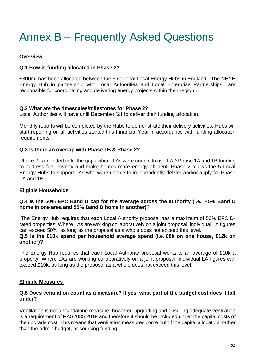## Annex B – Frequently Asked Questions

#### **Overview**

#### **Q.1 How is funding allocated in Phase 2?**

£300m has been allocated between the 5 regional Local Energy Hubs in England. The NEYH Energy Hub in partnership with Local Authorities and Local Enterprise Partnerships are responsible for coordinating and delivering energy projects within their region..

#### **Q.2 What are the timescales/milestones for Phase 2?**

Local Authorities will have until December '21 to deliver their funding allocation.

Monthly reports will be completed by the Hubs to demonstrate their delivery activities. Hubs will start reporting on all activities started this Financial Year in accordance with funding allocation requirements.

#### **Q.3 Is there an overlap with Phase 1B & Phase 2?**

Phase 2 is intended to fill the gaps where LAs were unable to use LAD Phase 1A and 1B funding to address fuel poverty and make homes more energy efficient. Phase 2 allows the 5 Local Energy Hubs to support LAs who were unable to independently deliver and/or apply for Phase 1A and 1B.

#### **Eligible Households**

#### **Q.4 Is the 50% EPC Band D cap for the average across the authority (i.e. 45% Band D home in one area and 55% Band D home in another)?**

The Energy Hub requires that each Local Authority proposal has a maximum of 50% EPC Drated properties. Where LAs are working collaboratively on a joint proposal, individual LA figures can exceed 50%, as long as the proposal as a whole does not exceed this level.

#### **Q.5 Is the £10k spend per household average spend (i.e. £8k on one house, £12k on another)?**

The Energy Hub requires that each Local Authority proposal works to an average of £10k a property. Where LAs are working collaboratively on a joint proposal, individual LA figures can exceed £10k, as long as the proposal as a whole does not exceed this level.

#### **Eligible Measures**

#### **Q.6 Does ventilation count as a measure? If yes, what part of the budget cost does it fall under?**

Ventilation is not a standalone measure, however, upgrading and ensuring adequate ventilation is a requirement of PAS2035:2019 and therefore it should be included under the capital costs of the upgrade cost. This means that ventilation measures come out of the capital allocation, rather than the admin budget, or sourcing funding.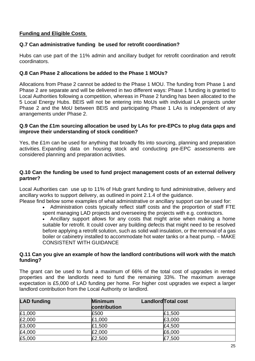#### **Funding and Eligible Costs**

#### **Q.7 Can administrative funding be used for retrofit coordination?**

Hubs can use part of the 11% admin and ancillary budget for retrofit coordination and retrofit coordinators.

#### **Q.8 Can Phase 2 allocations be added to the Phase 1 MOUs?**

Allocations from Phase 2 cannot be added to the Phase 1 MOU. The funding from Phase 1 and Phase 2 are separate and will be delivered in two different ways: Phase 1 funding is granted to Local Authorities following a competition, whereas in Phase 2 funding has been allocated to the 5 Local Energy Hubs. BEIS will not be entering into MoUs with individual LA projects under Phase 2 and the MoU between BEIS and participating Phase 1 LAs is independent of any arrangements under Phase 2.

#### **Q.9 Can the £1m sourcing allocation be used by LAs for pre-EPCs to plug data gaps and improve their understanding of stock condition?**

Yes, the £1m can be used for anything that broadly fits into sourcing, planning and preparation activities. Expanding data on housing stock and conducting pre-EPC assessments are considered planning and preparation activities.

#### **Q.10 Can the funding be used to fund project management costs of an external delivery partner?**

Local Authorities can use up to 11% of Hub grant funding to fund administrative, delivery and ancillary works to support delivery, as outlined in point 2.1.4 of the guidance.

Please find below some examples of what administrative or ancillary support can be used for: • Administration costs typically reflect staff costs and the proportion of staff FTE spent managing LAD projects and overseeing the projects with e.g. contractors.

• Ancillary support allows for any costs that might arise when making a home suitable for retrofit. It could cover any building defects that might need to be resolved before applying a retrofit solution, such as solid wall insulation, or the removal of a gas boiler or cabinetry installed to accommodate hot water tanks or a heat pump. – MAKE CONSISTENT WITH GUIDANCE

#### **Q.11 Can you give an example of how the landlord contributions will work with the match funding?**

The grant can be used to fund a maximum of 66% of the total cost of upgrades in rented properties and the landlords need to fund the remaining 33%. The maximum average expectation is £5,000 of LAD funding per home. For higher cost upgrades we expect a larger landlord contribution from the Local Authority or landlord.

| <b>LAD</b> funding | <b>Minimum</b><br>contribution | <b>Landlord Total cost</b> |
|--------------------|--------------------------------|----------------------------|
| £1,000             | £500                           | E1,500                     |
| £2,000             | £1,000                         | £3,000                     |
| £3,000             | £1,500                         | £4,500                     |
| £4,000             | £2,000                         | £6,000                     |
| £5,000             | £2,500                         | £7,500                     |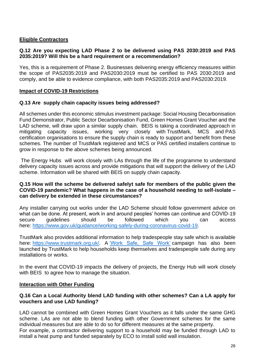#### **Eligible Contractors**

#### **Q.12 Are you expecting LAD Phase 2 to be delivered using PAS 2030:2019 and PAS 2035:2019? Will this be a hard requirement or a recommendation?**

Yes, this is a requirement of Phase 2. Businesses delivering energy efficiency measures within the scope of PAS2035:2019 and PAS2030:2019 must be certified to PAS 2030:2019 and comply, and be able to evidence compliance, with both PAS2035:2019 and PAS2030:2019.

#### **Impact of COVID-19 Restrictions**

#### **Q.13 Are supply chain capacity issues being addressed?**

All schemes under this economic stimulus investment package: Social Housing Decarbonisation Fund Demonstrator, Public Sector Decarbonisation Fund, Green Homes Grant Voucher and the LAD scheme, will draw upon a similar supply chain. BEIS is taking a coordinated approach in mitigating capacity issues, working very closely with TrustMark, MCS and PAS certification organisations to ensure the supply chain is ready to support and benefit from these schemes. The number of TrustMark registered and MCS or PAS certified installers continue to grow in response to the above schemes being announced.

The Energy Hubs will work closely with LAs through the life of the programme to understand delivery capacity issues across and provide mitigations that will support the delivery of the LAD scheme. Information will be shared with BEIS on supply chain capacity.

#### **Q.15 How will the scheme be delivered safelyt safe for members of the public given the COVID-19 pandemic? What happens in the case of a household needing to self-isolate – can delivery be extended in these circumstances?**

Any installer carrying out works under the LAD Scheme should follow government advice on what can be done. At present, work in and around peoples' homes can continue and COVID-19 secure guidelines should be followed which you can access here: [https://www.gov.uk/guidance/working-safely-during-coronavirus-covid-19.](https://www.gov.uk/guidance/working-safely-during-coronavirus-covid-19)

TrustMark also provides additional information to help tradespeople stay safe which is available here: [https://www.trustmark.org.uk/.](https://www.trustmark.org.uk/) A ['Work Safe, Safe Work'](https://www.worksafesafework.info/) campaign has also been launched by TrustMark to help households keep themselves and tradespeople safe during any installations or works.

In the event that COVID-19 impacts the delivery of projects, the Energy Hub will work closely with BEIS to agree how to manage the situation.

#### **Interaction with Other Funding**

#### **Q.16 Can a Local Authority blend LAD funding with other schemes? Can a LA apply for vouchers and use LAD funding?**

LAD cannot be combined with Green Homes Grant Vouchers as it falls under the same GHG scheme. LAs are not able to blend funding with other Government schemes for the same individual measures but are able to do so for different measures at the same property. For example, a contractor delivering support to a household may be funded through LAD to install a heat pump and funded separately by ECO to install solid wall insulation.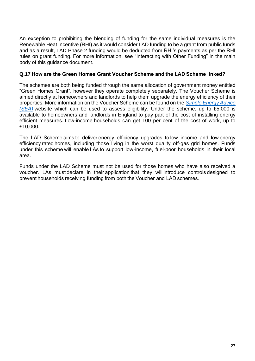An exception to prohibiting the blending of funding for the same individual measures is the Renewable Heat Incentive (RHI) as it would consider LAD funding to be a grant from public funds and as a result, LAD Phase 2 funding would be deducted from RHI's payments as per the RHI rules on grant funding. For more information, see "Interacting with Other Funding" in the main body of this guidance document.

#### **Q.17 How are the Green Homes Grant Voucher Scheme and the LAD Scheme linked?**

The schemes are both being funded through the same allocation of government money entitled "Green Homes Grant", however they operate completely separately. The Voucher Scheme is aimed directly at homeowners and landlords to help them upgrade the energy efficiency of their properties. More information on the Voucher Scheme can be found on the *[Simple Energy Advice](https://www.simpleenergyadvice.org.uk/)  [\(SEA\)](https://www.simpleenergyadvice.org.uk/)* website which can be used to assess eligibility. Under the scheme, up to £5,000 is available to homeowners and landlords in England to pay part of the cost of installing energy efficient measures. Low-income households can get 100 per cent of the cost of work, up to £10,000.

The LAD Scheme aims to deliver energy efficiency upgrades to low income and low energy efficiency rated homes, including those living in the worst quality off-gas grid homes. Funds under this scheme will enable LAs to support low-income, fuel-poor households in their local area.

Funds under the LAD Scheme must not be used for those homes who have also received a voucher. LAs must declare in their application that they will introduce controls designed to prevent households receiving funding from both the Voucher and LAD schemes.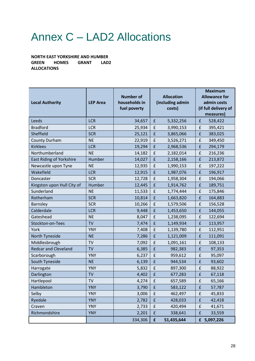## Annex C – LAD2 Allocations

**NORTH EAST YORKSHIRE AND HUMBER GREEN HOMES GRANT LAD2 ALLOCATIONS**

| <b>Local Authority</b>      | <b>LEP Area</b> | <b>Number of</b><br>households in<br>fuel poverty | <b>Allocation</b><br>(including admin<br>costs) |            | <b>Maximum</b><br><b>Allowance for</b><br>admin costs<br>(if full delivery of<br>measures) |             |
|-----------------------------|-----------------|---------------------------------------------------|-------------------------------------------------|------------|--------------------------------------------------------------------------------------------|-------------|
| Leeds                       | <b>LCR</b>      | 34,657                                            | $\pmb{\mathsf{f}}$                              | 5,332,256  | £                                                                                          | 528,422     |
| <b>Bradford</b>             | <b>LCR</b>      | 25,934                                            | $\pmb{\mathsf{f}}$                              | 3,990,153  | $\pmb{\mathsf{f}}$                                                                         | 395,421     |
| Sheffield                   | <b>SCR</b>      | 25,121                                            | $\pmb{\mathsf{f}}$                              | 3,865,066  | $\pmb{\mathsf{f}}$                                                                         | 383,025     |
| <b>County Durham</b>        | <b>NE</b>       | 22,919                                            | $\pmb{\mathsf{f}}$                              | 3,526,271  | $\pmb{\mathsf{f}}$                                                                         | 349,450     |
| <b>Kirklees</b>             | <b>LCR</b>      | 19,294                                            | $\pmb{\mathsf{f}}$                              | 2,968,536  | $\pmb{\mathsf{f}}$                                                                         | 294,179     |
| Northumberland              | <b>NE</b>       | 14,182                                            | $\pmb{\mathsf{f}}$                              | 2,182,014  | £                                                                                          | 216,236     |
| East Riding of Yorkshire    | Humber          | 14,027                                            | $\pmb{\mathsf{f}}$                              | 2,158,166  | $\pmb{\mathsf{f}}$                                                                         | 213,872     |
| Newcastle upon Tyne         | <b>NE</b>       | 12,935                                            | $\pmb{\mathsf{f}}$                              | 1,990,153  | $\pmb{\mathsf{f}}$                                                                         | 197,222     |
| Wakefield                   | <b>LCR</b>      | 12,915                                            | $\pmb{\mathsf{f}}$                              | 1,987,076  | $\pmb{\mathsf{f}}$                                                                         | 196,917     |
| Doncaster                   | <b>SCR</b>      | 12,728                                            | $\pmb{\mathsf{f}}$                              | 1,958,304  | $\pmb{\mathsf{f}}$                                                                         | 194,066     |
| Kingston upon Hull City of  | Humber          | 12,445                                            | $\pmb{\mathsf{f}}$                              | 1,914,762  | £                                                                                          | 189,751     |
| Sunderland                  | <b>NE</b>       | 11,533                                            | $\pmb{\mathsf{f}}$                              | 1,774,444  | $\pmb{\mathsf{f}}$                                                                         | 175,846     |
| Rotherham                   | <b>SCR</b>      | 10,814                                            | $\pmb{\mathsf{f}}$                              | 1,663,820  | £                                                                                          | 164,883     |
| Barnsley                    | <b>SCR</b>      | 10,266                                            | $\pmb{\mathsf{f}}$                              | 1,579,506  | $\pmb{\mathsf{f}}$                                                                         | 156,528     |
| Calderdale                  | <b>LCR</b>      | 9,448                                             | $\pmb{\mathsf{f}}$                              | 1,453,650  | £                                                                                          | 144,055     |
| Gateshead                   | <b>NE</b>       | 8,047                                             | $\pmb{\mathsf{f}}$                              | 1,238,095  | $\pmb{\mathsf{f}}$                                                                         | 122,694     |
| Stockton-on-Tees            | <b>TV</b>       | 7,474                                             | $\pmb{\mathsf{f}}$                              | 1,149,934  | $\pmb{\mathsf{f}}$                                                                         | 113,957     |
| York                        | <b>YNY</b>      | 7,408                                             | $\pmb{\mathsf{f}}$                              | 1,139,780  | $\pmb{\mathsf{f}}$                                                                         | 112,951     |
| North Tyneside              | <b>NE</b>       | 7,286                                             | $\pmb{\mathsf{f}}$                              | 1,121,009  | $\pmb{\mathsf{f}}$                                                                         | 111,091     |
| Middlesbrough               | TV              | 7,092                                             | $\pmb{\mathsf{f}}$                              | 1,091,161  | $\pmb{\mathsf{f}}$                                                                         | 108,133     |
| <b>Redcar and Cleveland</b> | <b>TV</b>       | 6,385                                             | $\pmb{\mathsf{f}}$                              | 982,383    | $\pmb{\mathsf{f}}$                                                                         | 97,353      |
| Scarborough                 | <b>YNY</b>      | 6,237                                             | $\pmb{\mathsf{f}}$                              | 959,612    | $\pmb{\mathsf{f}}$                                                                         | 95,097      |
| South Tyneside              | <b>NE</b>       | 6,139                                             | $\pmb{\mathsf{f}}$                              | 944,534    | £                                                                                          | 93,602      |
| Harrogate                   | <b>YNY</b>      | 5,832                                             | $\pmb{\mathsf{f}}$                              | 897,300    | $\pmb{\mathsf{f}}$                                                                         | 88,922      |
| Darlington                  | <b>TV</b>       | 4,402                                             | $\pmb{\mathsf{f}}$                              | 677,283    | $\pmb{\mathsf{f}}$                                                                         | 67,118      |
| Hartlepool                  | TV              | 4,274                                             | £                                               | 657,589    | £                                                                                          | 65,166      |
| Hambleton                   | <b>YNY</b>      | 3,790                                             | $\pmb{\mathsf{f}}$                              | 583,122    | $\pmb{\mathsf{f}}$                                                                         | 57,787      |
| Selby                       | <b>YNY</b>      | 3,006                                             | $\pmb{\mathsf{f}}$                              | 462,497    | $\pmb{\mathsf{f}}$                                                                         | 45,833      |
| Ryedale                     | <b>YNY</b>      | 2,782                                             | $\pmb{\mathsf{f}}$                              | 428,033    | $\pmb{\mathsf{f}}$                                                                         | 42,418      |
| Craven                      | <b>YNY</b>      | 2,733                                             | £                                               | 420,494    | $\pmb{\mathsf{f}}$                                                                         | 41,671      |
| Richmondshire               | <b>YNY</b>      | 2,201                                             | $\pmb{\mathsf{f}}$                              | 338,641    | $\pmb{\mathsf{f}}$                                                                         | 33,559      |
|                             |                 | 334,306                                           | $\pmb{\mathsf{f}}$                              | 51,435,644 |                                                                                            | £ 5,097,226 |